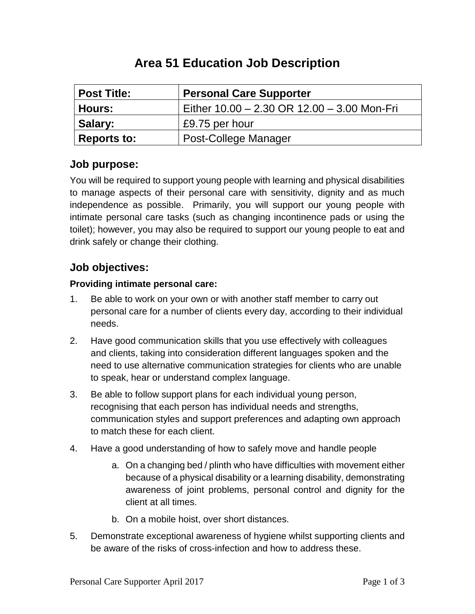| <b>Post Title:</b> | <b>Personal Care Supporter</b>              |  |  |
|--------------------|---------------------------------------------|--|--|
| <b>Hours:</b>      | Either 10.00 - 2.30 OR 12.00 - 3.00 Mon-Fri |  |  |
| Salary:            | £9.75 per hour                              |  |  |
| <b>Reports to:</b> | Post-College Manager                        |  |  |

## **Area 51 Education Job Description**

### **Job purpose:**

You will be required to support young people with learning and physical disabilities to manage aspects of their personal care with sensitivity, dignity and as much independence as possible. Primarily, you will support our young people with intimate personal care tasks (such as changing incontinence pads or using the toilet); however, you may also be required to support our young people to eat and drink safely or change their clothing.

## **Job objectives:**

#### **Providing intimate personal care:**

- 1. Be able to work on your own or with another staff member to carry out personal care for a number of clients every day, according to their individual needs.
- 2. Have good communication skills that you use effectively with colleagues and clients, taking into consideration different languages spoken and the need to use alternative communication strategies for clients who are unable to speak, hear or understand complex language.
- 3. Be able to follow support plans for each individual young person, recognising that each person has individual needs and strengths, communication styles and support preferences and adapting own approach to match these for each client.
- 4. Have a good understanding of how to safely move and handle people
	- a. On a changing bed / plinth who have difficulties with movement either because of a physical disability or a learning disability, demonstrating awareness of joint problems, personal control and dignity for the client at all times.
	- b. On a mobile hoist, over short distances.
- 5. Demonstrate exceptional awareness of hygiene whilst supporting clients and be aware of the risks of cross-infection and how to address these.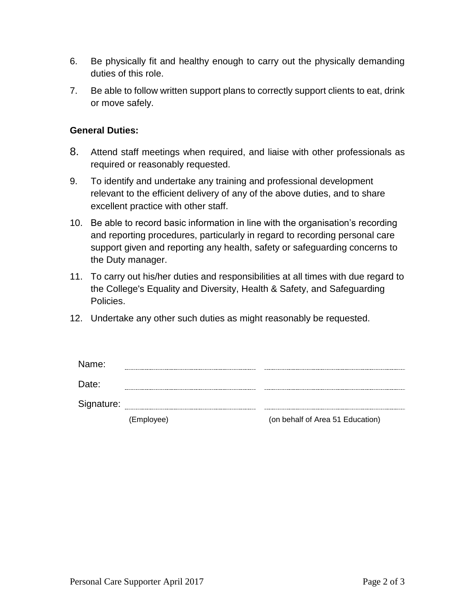- 6. Be physically fit and healthy enough to carry out the physically demanding duties of this role.
- 7. Be able to follow written support plans to correctly support clients to eat, drink or move safely.

#### **General Duties:**

- 8. Attend staff meetings when required, and liaise with other professionals as required or reasonably requested.
- 9. To identify and undertake any training and professional development relevant to the efficient delivery of any of the above duties, and to share excellent practice with other staff.
- 10. Be able to record basic information in line with the organisation's recording and reporting procedures, particularly in regard to recording personal care support given and reporting any health, safety or safeguarding concerns to the Duty manager.
- 11. To carry out his/her duties and responsibilities at all times with due regard to the College's Equality and Diversity, Health & Safety, and Safeguarding Policies.
- 12. Undertake any other such duties as might reasonably be requested.

| Name:      |            |                                  |
|------------|------------|----------------------------------|
| Date:      |            |                                  |
| Signature: |            |                                  |
|            | (Employee) | (on behalf of Area 51 Education) |